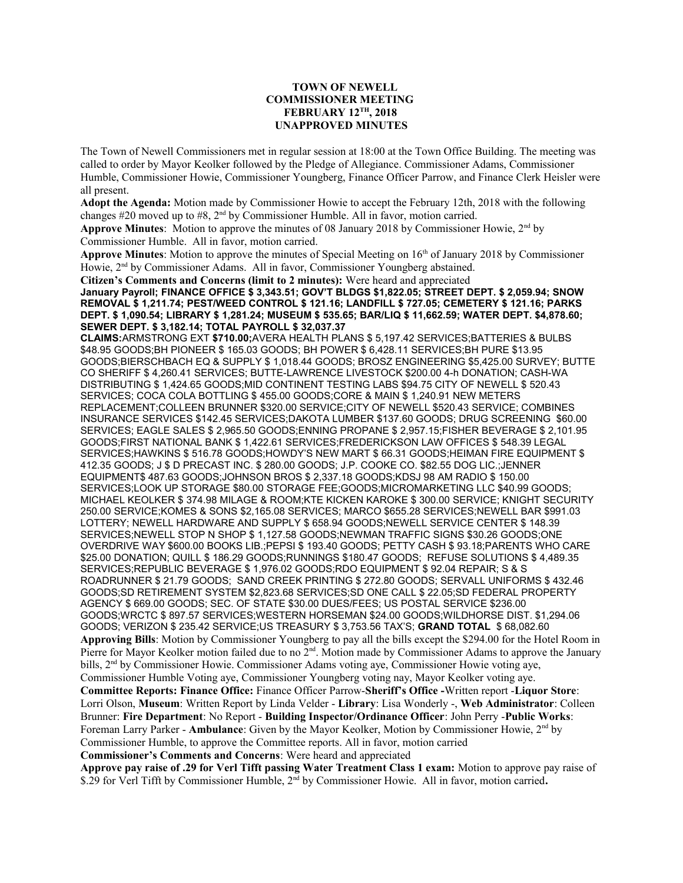## **TOWN OF NEWELL COMMISSIONER MEETING FEBRUARY 12TH, 2018 UNAPPROVED MINUTES**

The Town of Newell Commissioners met in regular session at 18:00 at the Town Office Building. The meeting was called to order by Mayor Keolker followed by the Pledge of Allegiance. Commissioner Adams, Commissioner Humble, Commissioner Howie, Commissioner Youngberg, Finance Officer Parrow, and Finance Clerk Heisler were all present.

**Adopt the Agenda:** Motion made by Commissioner Howie to accept the February 12th, 2018 with the following changes #20 moved up to #8, 2nd by Commissioner Humble. All in favor, motion carried.

**Approve Minutes**: Motion to approve the minutes of 08 January 2018 by Commissioner Howie, 2nd by Commissioner Humble. All in favor, motion carried.

Approve Minutes: Motion to approve the minutes of Special Meeting on 16<sup>th</sup> of January 2018 by Commissioner Howie, 2nd by Commissioner Adams. All in favor, Commissioner Youngberg abstained.

**Citizen's Comments and Concerns (limit to 2 minutes):** Were heard and appreciated

**January Payroll; FINANCE OFFICE \$ 3,343.51; GOV'T BLDGS \$1,822.05; STREET DEPT. \$ 2,059.94; SNOW REMOVAL \$ 1,211.74; PEST/WEED CONTROL \$ 121.16; LANDFILL \$ 727.05; CEMETERY \$ 121.16; PARKS DEPT. \$ 1,090.54; LIBRARY \$ 1,281.24; MUSEUM \$ 535.65; BAR/LIQ \$ 11,662.59; WATER DEPT. \$4,878.60; SEWER DEPT. \$ 3,182.14; TOTAL PAYROLL \$ 32,037.37**

**CLAIMS:**ARMSTRONG EXT **\$710.00;**AVERA HEALTH PLANS \$ 5,197.42 SERVICES;BATTERIES & BULBS \$48.95 GOODS;BH PIONEER \$ 165.03 GOODS; BH POWER \$ 6,428.11 SERVICES;BH PURE \$13.95 GOODS;BIERSCHBACH EQ & SUPPLY \$ 1,018.44 GOODS; BROSZ ENGINEERING \$5,425.00 SURVEY; BUTTE CO SHERIFF \$ 4,260.41 SERVICES; BUTTE-LAWRENCE LIVESTOCK \$200.00 4-h DONATION; CASH-WA DISTRIBUTING \$ 1,424.65 GOODS;MID CONTINENT TESTING LABS \$94.75 CITY OF NEWELL \$ 520.43 SERVICES; COCA COLA BOTTLING \$ 455.00 GOODS;CORE & MAIN \$ 1,240.91 NEW METERS REPLACEMENT;COLLEEN BRUNNER \$320.00 SERVICE;CITY OF NEWELL \$520.43 SERVICE; COMBINES INSURANCE SERVICES \$142.45 SERVICES;DAKOTA LUMBER \$137.60 GOODS; DRUG SCREENING \$60.00 SERVICES; EAGLE SALES \$ 2,965.50 GOODS;ENNING PROPANE \$ 2,957.15;FISHER BEVERAGE \$ 2,101.95 GOODS;FIRST NATIONAL BANK \$ 1,422.61 SERVICES;FREDERICKSON LAW OFFICES \$ 548.39 LEGAL SERVICES;HAWKINS \$ 516.78 GOODS;HOWDY'S NEW MART \$ 66.31 GOODS;HEIMAN FIRE EQUIPMENT \$ 412.35 GOODS; J \$ D PRECAST INC. \$ 280.00 GOODS; J.P. COOKE CO. \$82.55 DOG LIC.;JENNER EQUIPMENT\$ 487.63 GOODS;JOHNSON BROS \$ 2,337.18 GOODS;KDSJ 98 AM RADIO \$ 150.00 SERVICES;LOOK UP STORAGE \$80.00 STORAGE FEE;GOODS;MICROMARKETING LLC \$40.99 GOODS; MICHAEL KEOLKER \$ 374.98 MILAGE & ROOM;KTE KICKEN KAROKE \$ 300.00 SERVICE; KNIGHT SECURITY 250.00 SERVICE;KOMES & SONS \$2,165.08 SERVICES; MARCO \$655.28 SERVICES;NEWELL BAR \$991.03 LOTTERY; NEWELL HARDWARE AND SUPPLY \$ 658.94 GOODS;NEWELL SERVICE CENTER \$ 148.39 SERVICES;NEWELL STOP N SHOP \$ 1,127.58 GOODS;NEWMAN TRAFFIC SIGNS \$30.26 GOODS;ONE OVERDRIVE WAY \$600.00 BOOKS LIB.;PEPSI \$ 193.40 GOODS; PETTY CASH \$ 93.18;PARENTS WHO CARE \$25.00 DONATION; QUILL \$ 186.29 GOODS;RUNNINGS \$180.47 GOODS; REFUSE SOLUTIONS \$ 4,489.35 SERVICES;REPUBLIC BEVERAGE \$ 1,976.02 GOODS;RDO EQUIPMENT \$ 92.04 REPAIR; S & S ROADRUNNER \$ 21.79 GOODS; SAND CREEK PRINTING \$ 272.80 GOODS; SERVALL UNIFORMS \$ 432.46 GOODS;SD RETIREMENT SYSTEM \$2,823.68 SERVICES;SD ONE CALL \$ 22.05;SD FEDERAL PROPERTY AGENCY \$ 669.00 GOODS; SEC. OF STATE \$30.00 DUES/FEES; US POSTAL SERVICE \$236.00 GOODS;WRCTC \$ 897.57 SERVICES;WESTERN HORSEMAN \$24.00 GOODS;WILDHORSE DIST. \$1,294.06 GOODS; VERIZON \$ 235.42 SERVICE;US TREASURY \$ 3,753.56 TAX'S; **GRAND TOTAL** \$ 68,082.60 **Approving Bills**: Motion by Commissioner Youngberg to pay all the bills except the \$294.00 for the Hotel Room in Pierre for Mayor Keolker motion failed due to no  $2<sup>nd</sup>$ . Motion made by Commissioner Adams to approve the January bills, 2nd by Commissioner Howie. Commissioner Adams voting aye, Commissioner Howie voting aye, Commissioner Humble Voting aye, Commissioner Youngberg voting nay, Mayor Keolker voting aye. **Committee Reports: Finance Office:** Finance Officer Parrow-**Sheriff's Office -**Written report -**Liquor Store**: Lorri Olson, **Museum**: Written Report by Linda Velder - **Library**: Lisa Wonderly -, **Web Administrator**: Colleen Brunner: **Fire Department**: No Report - **Building Inspector/Ordinance Officer**: John Perry -**Public Works**: Foreman Larry Parker - **Ambulance**: Given by the Mayor Keolker, Motion by Commissioner Howie, 2nd by Commissioner Humble, to approve the Committee reports. All in favor, motion carried **Commissioner's Comments and Concerns**: Were heard and appreciated **Approve pay raise of .29 for Verl Tifft passing Water Treatment Class 1 exam:** Motion to approve pay raise of

\$.29 for Verl Tifft by Commissioner Humble, 2<sup>nd</sup> by Commissioner Howie. All in favor, motion carried.